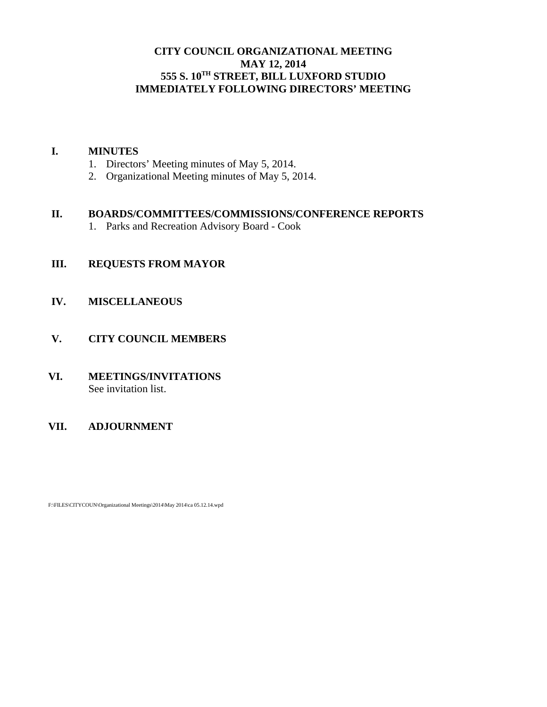# **CITY COUNCIL ORGANIZATIONAL MEETING MAY 12, 2014 555 S. 10TH STREET, BILL LUXFORD STUDIO IMMEDIATELY FOLLOWING DIRECTORS' MEETING**

#### **I. MINUTES**

- 1. Directors' Meeting minutes of May 5, 2014.
- 2. Organizational Meeting minutes of May 5, 2014.

#### **II. BOARDS/COMMITTEES/COMMISSIONS/CONFERENCE REPORTS**

1. Parks and Recreation Advisory Board - Cook

# **III. REQUESTS FROM MAYOR**

#### **IV. MISCELLANEOUS**

# **V. CITY COUNCIL MEMBERS**

#### **VI. MEETINGS/INVITATIONS** See invitation list.

# **VII. ADJOURNMENT**

F:\FILES\CITYCOUN\Organizational Meetings\2014\May 2014\ca 05.12.14.wpd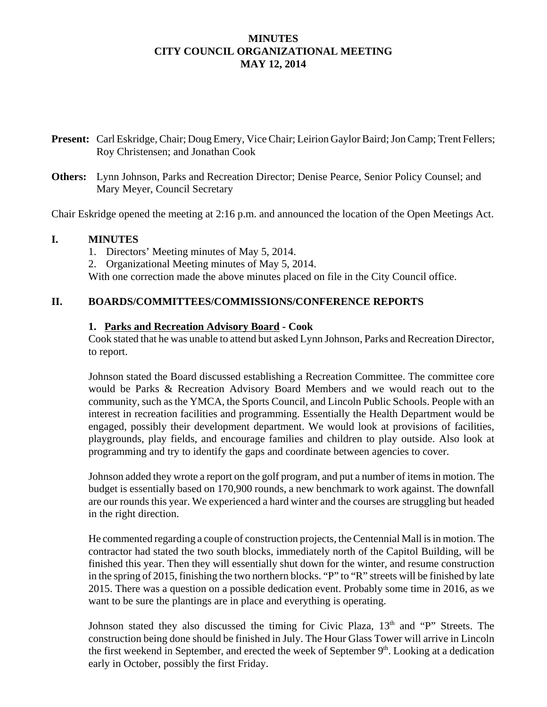# **MINUTES CITY COUNCIL ORGANIZATIONAL MEETING MAY 12, 2014**

- **Present:** Carl Eskridge, Chair; Doug Emery, Vice Chair; Leirion Gaylor Baird; Jon Camp; Trent Fellers; Roy Christensen; and Jonathan Cook
- **Others:** Lynn Johnson, Parks and Recreation Director; Denise Pearce, Senior Policy Counsel; and Mary Meyer, Council Secretary

Chair Eskridge opened the meeting at 2:16 p.m. and announced the location of the Open Meetings Act.

#### **I. MINUTES**

1. Directors' Meeting minutes of May 5, 2014.

2. Organizational Meeting minutes of May 5, 2014.

With one correction made the above minutes placed on file in the City Council office.

# **II. BOARDS/COMMITTEES/COMMISSIONS/CONFERENCE REPORTS**

#### **1. Parks and Recreation Advisory Board - Cook**

Cook stated that he was unable to attend but asked Lynn Johnson, Parks and Recreation Director, to report.

Johnson stated the Board discussed establishing a Recreation Committee. The committee core would be Parks & Recreation Advisory Board Members and we would reach out to the community, such as the YMCA, the Sports Council, and Lincoln Public Schools. People with an interest in recreation facilities and programming. Essentially the Health Department would be engaged, possibly their development department. We would look at provisions of facilities, playgrounds, play fields, and encourage families and children to play outside. Also look at programming and try to identify the gaps and coordinate between agencies to cover.

Johnson added they wrote a report on the golf program, and put a number of items in motion. The budget is essentially based on 170,900 rounds, a new benchmark to work against. The downfall are our rounds this year. We experienced a hard winter and the courses are struggling but headed in the right direction.

He commented regarding a couple of construction projects, the Centennial Mall is in motion. The contractor had stated the two south blocks, immediately north of the Capitol Building, will be finished this year. Then they will essentially shut down for the winter, and resume construction in the spring of 2015, finishing the two northern blocks. "P" to "R" streets will be finished by late 2015. There was a question on a possible dedication event. Probably some time in 2016, as we want to be sure the plantings are in place and everything is operating.

Johnson stated they also discussed the timing for Civic Plaza,  $13<sup>th</sup>$  and "P" Streets. The construction being done should be finished in July. The Hour Glass Tower will arrive in Lincoln the first weekend in September, and erected the week of September  $9<sup>th</sup>$ . Looking at a dedication early in October, possibly the first Friday.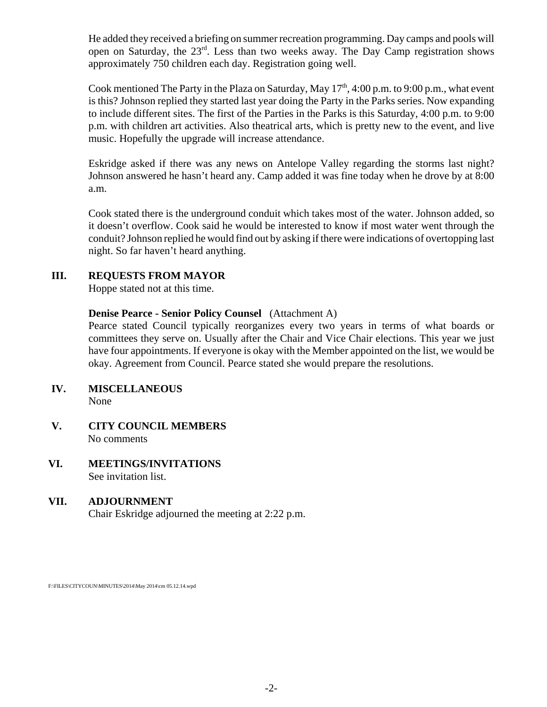He added they received a briefing on summer recreation programming. Day camps and pools will open on Saturday, the 23rd. Less than two weeks away. The Day Camp registration shows approximately 750 children each day. Registration going well.

Cook mentioned The Party in the Plaza on Saturday, May  $17<sup>th</sup>$ , 4:00 p.m. to 9:00 p.m., what event is this? Johnson replied they started last year doing the Party in the Parks series. Now expanding to include different sites. The first of the Parties in the Parks is this Saturday, 4:00 p.m. to 9:00 p.m. with children art activities. Also theatrical arts, which is pretty new to the event, and live music. Hopefully the upgrade will increase attendance.

Eskridge asked if there was any news on Antelope Valley regarding the storms last night? Johnson answered he hasn't heard any. Camp added it was fine today when he drove by at 8:00 a.m.

Cook stated there is the underground conduit which takes most of the water. Johnson added, so it doesn't overflow. Cook said he would be interested to know if most water went through the conduit? Johnson replied he would find out by asking if there were indications of overtopping last night. So far haven't heard anything.

# **III. REQUESTS FROM MAYOR**

Hoppe stated not at this time.

#### **Denise Pearce - Senior Policy Counsel** (Attachment A)

Pearce stated Council typically reorganizes every two years in terms of what boards or committees they serve on. Usually after the Chair and Vice Chair elections. This year we just have four appointments. If everyone is okay with the Member appointed on the list, we would be okay. Agreement from Council. Pearce stated she would prepare the resolutions.

- **IV. MISCELLANEOUS** None
- **V. CITY COUNCIL MEMBERS** No comments
- **VI. MEETINGS/INVITATIONS** See invitation list.

# **VII. ADJOURNMENT**

Chair Eskridge adjourned the meeting at 2:22 p.m.

F:\FILES\CITYCOUN\MINUTES\2014\May 2014\cm 05.12.14.wpd